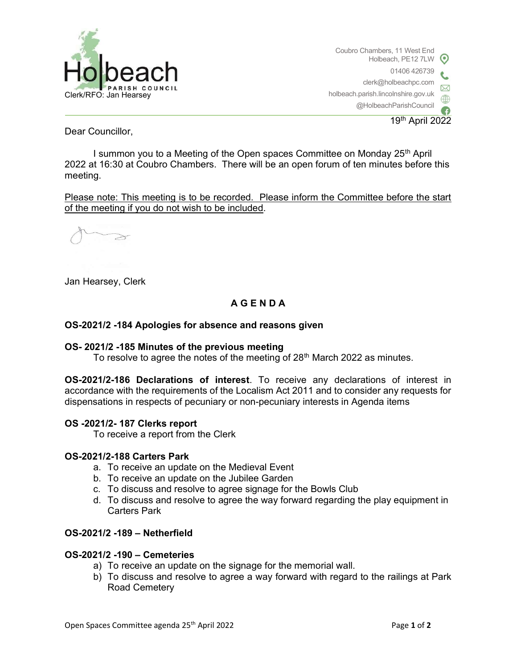

Coubro Chambers, 11 West End Holbeach, PE12 7LW 01406 426739 clerk@holbeachpc.com holbeach.parish.lincolnshire.gov.uk @HolbeachParishCouncil

19th April 2022

Dear Councillor,

I summon you to a Meeting of the Open spaces Committee on Monday  $25<sup>th</sup>$  April 2022 at 16:30 at Coubro Chambers. There will be an open forum of ten minutes before this meeting.

Please note: This meeting is to be recorded. Please inform the Committee before the start of the meeting if you do not wish to be included.

Jan Hearsey, Clerk

# A G E N D A

## OS-2021/2 -184 Apologies for absence and reasons given

### OS- 2021/2 -185 Minutes of the previous meeting

To resolve to agree the notes of the meeting of 28<sup>th</sup> March 2022 as minutes.

OS-2021/2-186 Declarations of interest. To receive any declarations of interest in accordance with the requirements of the Localism Act 2011 and to consider any requests for dispensations in respects of pecuniary or non-pecuniary interests in Agenda items

### OS -2021/2- 187 Clerks report

To receive a report from the Clerk

### OS-2021/2-188 Carters Park

- a. To receive an update on the Medieval Event
- b. To receive an update on the Jubilee Garden
- c. To discuss and resolve to agree signage for the Bowls Club
- d. To discuss and resolve to agree the way forward regarding the play equipment in Carters Park

## OS-2021/2 -189 – Netherfield

### OS-2021/2 -190 – Cemeteries

- a) To receive an update on the signage for the memorial wall.
- b) To discuss and resolve to agree a way forward with regard to the railings at Park Road Cemetery